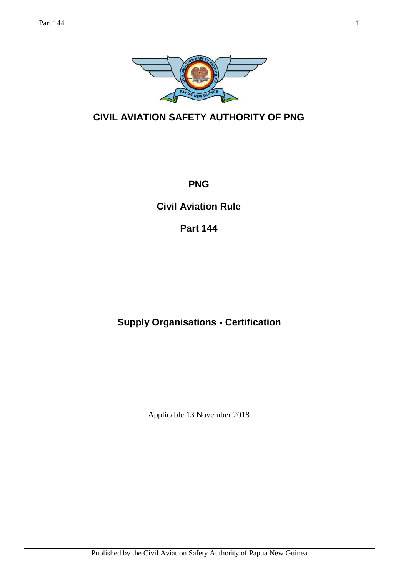

# **CIVIL AVIATION SAFETY AUTHORITY OF PNG**

**PNG**

**Civil Aviation Rule** 

**Part 144**

# **Supply Organisations - Certification**

Applicable 13 November 2018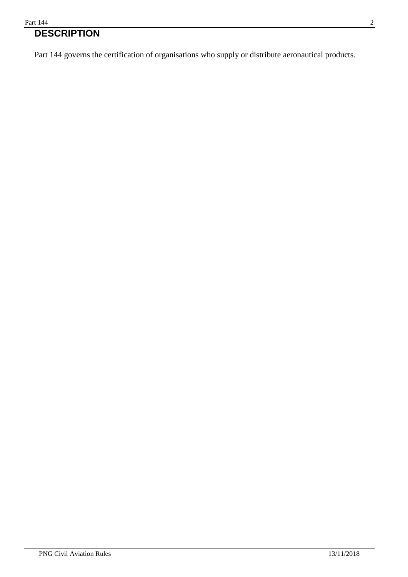#### Part 144 2

# **DESCRIPTION**

Part 144 governs the certification of organisations who supply or distribute aeronautical products.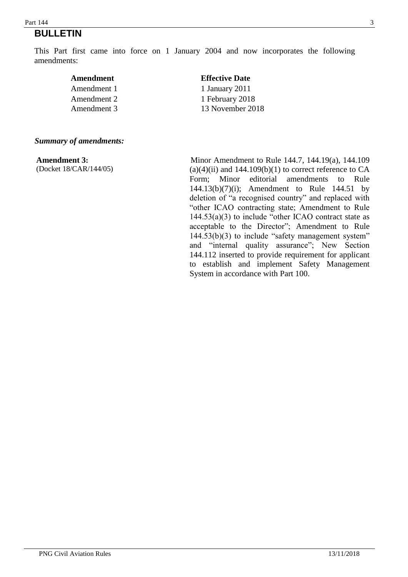#### $\frac{1}{4}$  Part 144 **BULLETIN**

This Part first came into force on 1 January 2004 and now incorporates the following amendments:

| Amendment   | <b>Effective Date</b> |  |
|-------------|-----------------------|--|
| Amendment 1 | 1 January 2011        |  |
| Amendment 2 | 1 February 2018       |  |
| Amendment 3 | 13 November 2018      |  |
|             |                       |  |

#### *Summary of amendments:*

**Amendment 3:**  (Docket 18/CAR/144/05)

 Minor Amendment to Rule 144.7, 144.19(a), 144.109  $(a)(4)(ii)$  and 144.109 $(b)(1)$  to correct reference to CA Form; Minor editorial amendments to Rule 144.13(b)(7)(i); Amendment to Rule 144.51 by deletion of "a recognised country" and replaced with "other ICAO contracting state; Amendment to Rule 144.53(a)(3) to include "other ICAO contract state as acceptable to the Director"; Amendment to Rule 144.53(b)(3) to include "safety management system" and "internal quality assurance"; New Section 144.112 inserted to provide requirement for applicant to establish and implement Safety Management System in accordance with Part 100.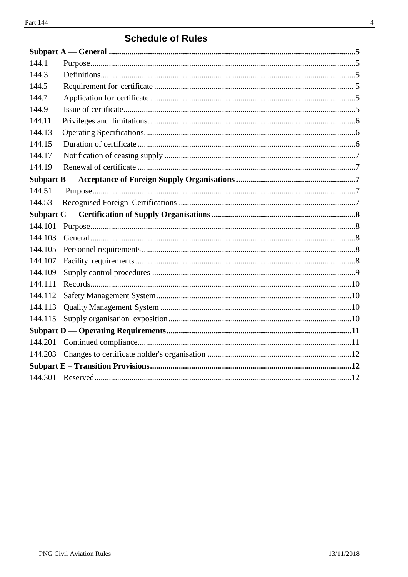# **Schedule of Rules**

| 144.1   |  |
|---------|--|
| 144.3   |  |
| 144.5   |  |
| 144.7   |  |
| 144.9   |  |
| 144.11  |  |
| 144.13  |  |
| 144.15  |  |
| 144.17  |  |
| 144.19  |  |
|         |  |
| 144.51  |  |
| 144.53  |  |
|         |  |
| 144.101 |  |
| 144.103 |  |
| 144.105 |  |
| 144.107 |  |
| 144.109 |  |
| 144.111 |  |
| 144.112 |  |
| 144.113 |  |
| 144.115 |  |
|         |  |
| 144.201 |  |
| 144.203 |  |
|         |  |
|         |  |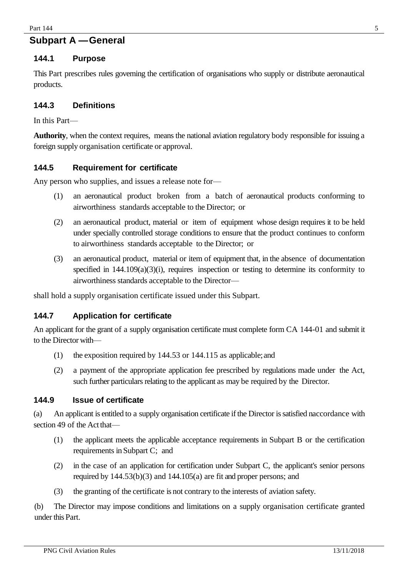# **Subpart A —General**

#### **144.1 Purpose**

This Part prescribes rules governing the certification of organisations who supply or distribute aeronautical products.

#### <span id="page-4-0"></span>**144.3 Definitions**

In this Part—

**Authority**, when the context requires, means the national aviation regulatory body responsible for issuing a foreign supply organisation certificate or approval.

#### <span id="page-4-1"></span>**144.5 Requirement for certificate**

Any person who supplies, and issues a release note for—

- (1) an aeronautical product broken from a batch of aeronautical products conforming to airworthiness standards acceptable to the Director; or
- (2) an aeronautical product, material or item of equipment whose design requires it to be held under specially controlled storage conditions to ensure that the product continues to conform to airworthiness standards acceptable to the Director; or
- (3) an aeronautical product, material or item of equipment that, in the absence of documentation specified in 144.109(a)(3)(i), requires inspection or testing to determine its conformity to airworthiness standards acceptable to the Director—

shall hold a supply organisation certificate issued under this Subpart.

#### <span id="page-4-2"></span>**144.7 Application for certificate**

An applicant for the grant of a supply organisation certificate must complete form CA 144-01 and submit it to the Director with—

- (1) the exposition required by 144.53 or 144.115 as applicable;and
- (2) a payment of the appropriate application fee prescribed by regulations made under the Act, such further particulars relating to the applicant as may be required by the Director.

#### <span id="page-4-3"></span>**144.9 Issue of certificate**

(a) An applicant is entitled to a supply organisation certificate if the Director is satisfied naccordance with section 49 of the Act that—

- (1) the applicant meets the applicable acceptance requirements in Subpart B or the certification requirements in Subpart C; and
- (2) in the case of an application for certification under Subpart C, the applicant's senior persons required by 144.53(b)(3) and 144.105(a) are fit and proper persons; and
- (3) the granting of the certificate is not contrary to the interests of aviation safety.

(b) The Director may impose conditions and limitations on a supply organisation certificate granted under this Part.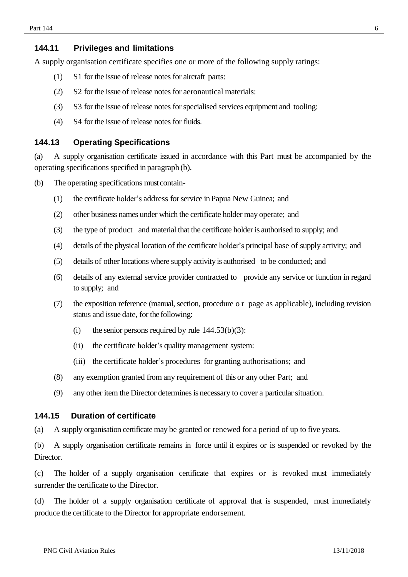#### <span id="page-5-0"></span>**144.11 Privileges and limitations**

A supply organisation certificate specifies one or more of the following supply ratings:

- (1) S1 for the issue of release notes for aircraft parts:
- (2) S2 for the issue of release notes for aeronautical materials:
- (3) S3 for the issue of release notes for specialised services equipment and tooling:
- (4) S4 for the issue of release notes for fluids.

#### <span id="page-5-1"></span>**144.13 Operating Specifications**

(a) A supply organisation certificate issued in accordance with this Part must be accompanied by the operating specifications specified in paragraph (b).

- (b) The operating specifications must contain-
	- (1) the certificate holder's address for service in Papua New Guinea; and
	- (2) other business names under which the certificate holder may operate; and
	- (3) the type of product and material that the certificate holder is authorised to supply; and
	- (4) details of the physical location of the certificate holder's principal base of supply activity; and
	- (5) details of other locations where supply activity is authorised to be conducted; and
	- (6) details of any external service provider contracted to provide any service or function in regard to supply; and
	- (7) the exposition reference (manual, section, procedure o r page as applicable), including revision status and issue date, for the following:
		- (i) the senior persons required by rule  $144.53(b)(3)$ :
		- (ii) the certificate holder's quality management system:
		- (iii) the certificate holder's procedures for granting authorisations; and
	- (8) any exemption granted from any requirement of this or any other Part; and
	- (9) any other item the Director determines is necessary to cover a particular situation.

#### <span id="page-5-2"></span>**144.15 Duration of certificate**

(a) A supply organisation certificate may be granted or renewed for a period of up to five years.

(b) A supply organisation certificate remains in force until it expires or is suspended or revoked by the Director.

(c) The holder of a supply organisation certificate that expires or is revoked must immediately surrender the certificate to the Director.

(d) The holder of a supply organisation certificate of approval that is suspended, must immediately produce the certificate to the Director for appropriate endorsement.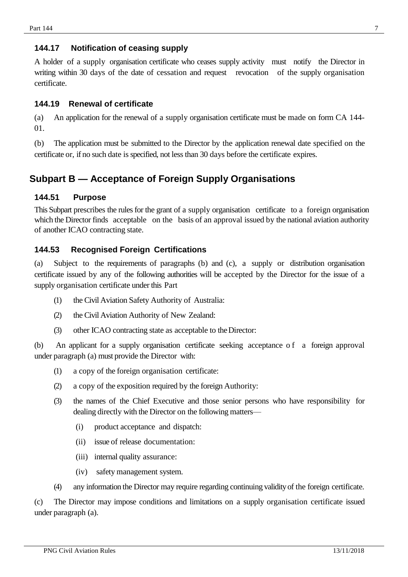## <span id="page-6-1"></span>**144.17 Notification of ceasing supply**

A holder of a supply organisation certificate who ceases supply activity must notify the Director in writing within 30 days of the date of cessation and request revocation of the supply organisation certificate.

### <span id="page-6-2"></span>**144.19 Renewal of certificate**

(a) An application for the renewal of a supply organisation certificate must be made on form CA 144- 01.

(b) The application must be submitted to the Director by the application renewal date specified on the certificate or, if no such date is specified, not less than 30 days before the certificate expires.

# <span id="page-6-3"></span><span id="page-6-0"></span>**Subpart B — Acceptance of Foreign Supply Organisations**

#### **144.51 Purpose**

This Subpart prescribes the rules for the grant of a supply organisation certificate to a foreign organisation which the Director finds acceptable on the basis of an approval issued by the national aviation authority of another ICAO contracting state.

## <span id="page-6-4"></span>**144.53 Recognised Foreign Certifications**

(a) Subject to the requirements of paragraphs (b) and (c), a supply or distribution organisation certificate issued by any of the following authorities will be accepted by the Director for the issue of a supply organisation certificate under this Part

- (1) the Civil Aviation Safety Authority of Australia:
- (2) the Civil Aviation Authority of New Zealand:
- (3) other ICAO contracting state as acceptable to theDirector:

(b) An applicant for a supply organisation certificate seeking acceptance o f a foreign approval under paragraph (a) must provide the Director with:

- (1) a copy of the foreign organisation certificate:
- (2) a copy of the exposition required by the foreign Authority:
- (3) the names of the Chief Executive and those senior persons who have responsibility for dealing directly with the Director on the following matters—
	- (i) product acceptance and dispatch:
	- (ii) issue of release documentation:
	- (iii) internal quality assurance:
	- (iv) safety management system.
- (4) any information the Director may require regarding continuing validity of the foreign certificate.

(c) The Director may impose conditions and limitations on a supply organisation certificate issued under paragraph (a).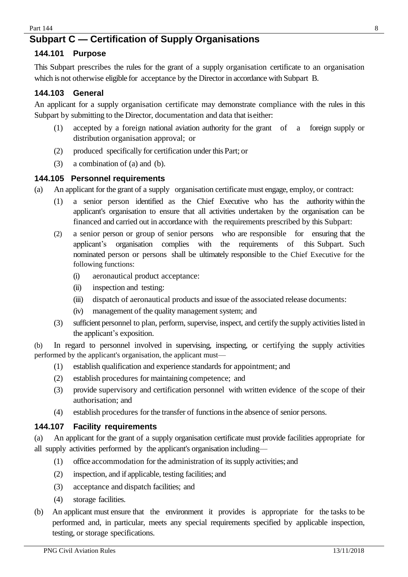# <span id="page-7-0"></span>**Subpart C — Certification of Supply Organisations**

## <span id="page-7-1"></span>**144.101 Purpose**

This Subpart prescribes the rules for the grant of a supply organisation certificate to an organisation which is not otherwise eligible for acceptance by the Director in accordance with Subpart B.

# <span id="page-7-2"></span>**144.103 General**

An applicant for a supply organisation certificate may demonstrate compliance with the rules in this Subpart by submitting to the Director, documentation and data that iseither:

- (1) accepted by a foreign national aviation authority for the grant of a foreign supply or distribution organisation approval; or
- (2) produced specifically for certification under this Part; or
- (3) a combination of (a) and (b).

## <span id="page-7-3"></span>**144.105 Personnel requirements**

- (a) An applicant for the grant of a supply organisation certificate must engage, employ, or contract:
	- (1) a senior person identified as the Chief Executive who has the authority within the applicant's organisation to ensure that all activities undertaken by the organisation can be financed and carried out in accordance with the requirements prescribed by this Subpart:
	- (2) a senior person or group of senior persons who are responsible for ensuring that the applicant's organisation complies with the requirements of this Subpart. Such nominated person or persons shall be ultimately responsible to the Chief Executive for the following functions:
		- (i) aeronautical product acceptance:
		- (ii) inspection and testing:
		- (iii) dispatch of aeronautical products and issue of the associated release documents:
		- (iv) management of the quality management system; and
	- (3) sufficient personnel to plan, perform, supervise, inspect, and certify the supply activities listed in the applicant's exposition.

(b) In regard to personnel involved in supervising, inspecting, or certifying the supply activities performed by the applicant's organisation, the applicant must—

- (1) establish qualification and experience standards for appointment; and
- (2) establish procedures for maintaining competence; and
- (3) provide supervisory and certification personnel with written evidence of the scope of their authorisation; and
- (4) establish procedures for the transfer of functions in the absence of senior persons.

## <span id="page-7-4"></span>**144.107 Facility requirements**

(a) An applicant for the grant of a supply organisation certificate must provide facilities appropriate for all supply activities performed by the applicant's organisation including—

- (1) office accommodation for the administration of its supply activities; and
- (2) inspection, and if applicable, testing facilities; and
- (3) acceptance and dispatch facilities; and
- (4) storage facilities.
- (b) An applicant must ensure that the environment it provides is appropriate for the tasks to be performed and, in particular, meets any special requirements specified by applicable inspection, testing, or storage specifications.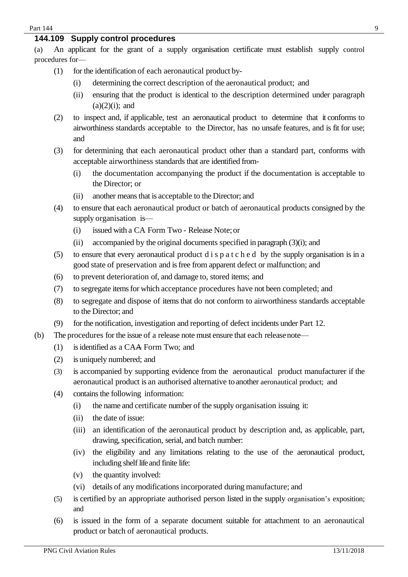#### <span id="page-8-0"></span>**144.109 Supply control procedures**

(a) An applicant for the grant of a supply organisation certificate must establish supply control procedures for—

- (1) for the identification of each aeronautical product by-
	- (i) determining the correct description of the aeronautical product; and
	- (ii) ensuring that the product is identical to the description determined under paragraph  $(a)(2)(i)$ ; and
- (2) to inspect and, if applicable, test an aeronautical product to determine that it conforms to airworthiness standards acceptable to the Director, has no unsafe features, and is fit for use; and
- (3) for determining that each aeronautical product other than a standard part, conforms with acceptable airworthiness standards that are identified from-
	- (i) the documentation accompanying the product if the documentation is acceptable to the Director; or
	- (ii) another means that is acceptable to the Director; and
- (4) to ensure that each aeronautical product or batch of aeronautical products consigned by the supply organisation is—
	- (i) issued with a CA Form Two Release Note;or
	- (ii) accompanied by the original documents specified in paragraph (3)(i); and
- (5) to ensure that every aeronautical product d i s  $p a t c h e d$  by the supply organisation is in a good state of preservation and is free from apparent defect or malfunction; and
- (6) to prevent deterioration of, and damage to, stored items; and
- (7) to segregate items for which acceptance procedures have not been completed; and
- (8) to segregate and dispose of items that do not conform to airworthiness standards acceptable to the Director; and
- (9) for the notification, investigation and reporting of defect incidents under Part 12.
- (b) The procedures for the issue of a release note must ensure that each releasenote—
	- (1) is identified as a CAA Form Two; and
	- (2) is uniquely numbered; and
	- (3) is accompanied by supporting evidence from the aeronautical product manufacturer if the aeronautical product is an authorised alternative toanother aeronautical product; and
	- (4) contains the following information:
		- (i) the name and certificate number of the supply organisation issuing it:
		- (ii) the date of issue:
		- (iii) an identification of the aeronautical product by description and, as applicable, part, drawing, specification, serial, and batch number:
		- (iv) the eligibility and any limitations relating to the use of the aeronautical product, including shelf life and finite life:
		- (v) the quantity involved:
		- (vi) details of any modifications incorporated during manufacture; and
	- (5) is certified by an appropriate authorised person listed in the supply organisation's exposition; and
	- (6) is issued in the form of a separate document suitable for attachment to an aeronautical product or batch of aeronautical products.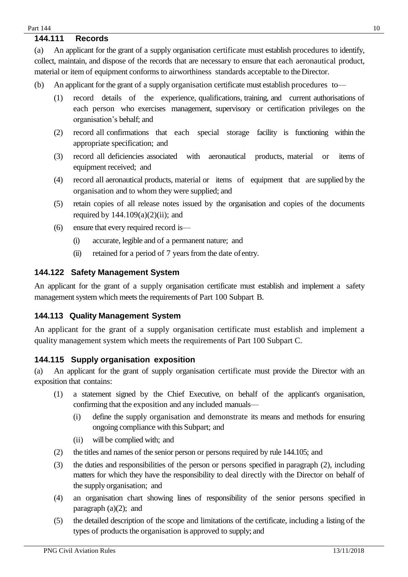#### <span id="page-9-0"></span>**144.111 Records**

(a) An applicant for the grant of a supply organisation certificate must establish procedures to identify, collect, maintain, and dispose of the records that are necessary to ensure that each aeronautical product, material or item of equipment conforms to airworthiness standards acceptable to theDirector.

- (b) An applicant for the grant of a supply organisation certificate must establish procedures to—
	- (1) record details of the experience, qualifications, training, and current authorisations of each person who exercises management, supervisory or certification privileges on the organisation's behalf; and
	- (2) record all confirmations that each special storage facility is functioning within the appropriate specification; and
	- (3) record all deficiencies associated with aeronautical products, material or items of equipment received; and
	- (4) record all aeronautical products, material or items of equipment that are supplied by the organisation and to whom they were supplied; and
	- (5) retain copies of all release notes issued by the organisation and copies of the documents required by  $144.109(a)(2)(ii)$ ; and
	- (6) ensure that every required record is—
		- (i) accurate, legible and of a permanent nature; and
		- (ii) retained for a period of 7 years from the date ofentry.

#### <span id="page-9-1"></span>**144.122 Safety Management System**

An applicant for the grant of a supply organisation certificate must establish and implement a safety management system which meets the requirements of Part 100 Subpart B.

#### <span id="page-9-2"></span>**144.113 Quality Management System**

An applicant for the grant of a supply organisation certificate must establish and implement a quality management system which meets the requirements of Part 100 Subpart C.

## <span id="page-9-3"></span>**144.115 Supply organisation exposition**

(a) An applicant for the grant of supply organisation certificate must provide the Director with an exposition that contains:

- (1) a statement signed by the Chief Executive, on behalf of the applicant's organisation, confirming that the exposition and any included manuals—
	- (i) define the supply organisation and demonstrate its means and methods for ensuring ongoing compliance with this Subpart; and
	- (ii) will be complied with; and
- (2) the titles and names of the senior person or persons required by rule 144.105; and
- (3) the duties and responsibilities of the person or persons specified in paragraph (2), including matters for which they have the responsibility to deal directly with the Director on behalf of the supply organisation; and
- (4) an organisation chart showing lines of responsibility of the senior persons specified in paragraph  $(a)(2)$ ; and
- (5) the detailed description of the scope and limitations of the certificate, including a listing of the types of products the organisation is approved to supply; and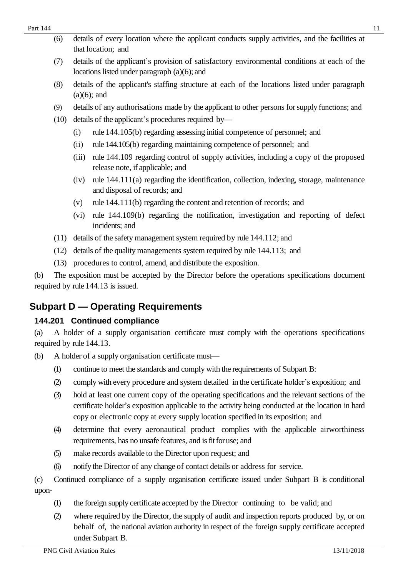| (6) | details of every location where the applicant conducts supply activities, and the facilities at |
|-----|-------------------------------------------------------------------------------------------------|
|     | that location; and                                                                              |

- (7) details of the applicant's provision of satisfactory environmental conditions at each of the locations listed under paragraph (a)(6); and
- (8) details of the applicant's staffing structure at each of the locations listed under paragraph  $(a)(6)$ ; and
- (9) details of any authorisations made by the applicant to other persons forsupply functions; and
- (10) details of the applicant's procedures required by—
	- (i) rule 144.105(b) regarding assessing initial competence of personnel; and
	- (ii) rule 144.105(b) regarding maintaining competence of personnel; and
	- (iii) rule 144.109 regarding control of supply activities, including a copy of the proposed release note, if applicable; and
	- $(iv)$  rule  $144.111(a)$  regarding the identification, collection, indexing, storage, maintenance and disposal of records; and
	- (v) rule 144.111(b) regarding the content and retention of records; and
	- (vi) rule 144.109(b) regarding the notification, investigation and reporting of defect incidents; and
- (11) details of the safety management system required by rule 144.112; and
- (12) details of the quality managements system required by rule 144.113; and
- (13) procedures to control, amend, and distribute the exposition.

(b) The exposition must be accepted by the Director before the operations specifications document required by rule 144.13 is issued.

# <span id="page-10-0"></span>**Subpart D — Operating Requirements**

# <span id="page-10-1"></span>**144.201 Continued compliance**

(a) A holder of a supply organisation certificate must comply with the operations specifications required by rule 144.13.

- (b) A holder of a supply organisation certificate must—
	- (1) continue to meet the standards and comply with the requirements of Subpart B:
	- (2) comply with every procedure and system detailed in the certificate holder's exposition; and
	- (3) hold at least one current copy of the operating specifications and the relevant sections of the certificate holder's exposition applicable to the activity being conducted at the location in hard copy or electronic copy at every supply location specified in its exposition; and
	- (4) determine that every aeronautical product complies with the applicable airworthiness requirements, has no unsafe features, and is fit foruse; and
	- (5) make records available to the Director upon request; and
	- (6) notify the Director of any change of contact details or address for service.
- (c) Continued compliance of a supply organisation certificate issued under Subpart B is conditional upon-
	- (1) the foreign supply certificate accepted by the Director continuing to be valid; and
	- (2) where required by the Director, the supply of audit and inspection reports produced by, or on behalf of, the national aviation authority in respect of the foreign supply certificate accepted under Subpart B.